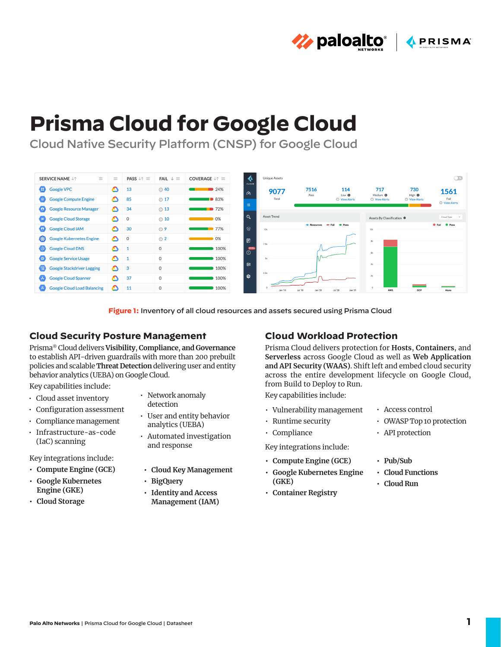*i***z** paloalto<sup>®</sup> **APRISMA** 

# **Prisma Cloud for Google Cloud**

Cloud Native Security Platform (CNSP) for Google Cloud

| <b>SERVICE NAME <math>\downarrow \uparrow</math></b><br>$\equiv$ | $\equiv$ | <b>PASS</b> $\downarrow \uparrow \equiv$ | FAIL $\downarrow \equiv$ | COVERAGE $\downarrow \uparrow \equiv$ | CLOUD        | <b>Unique Assets</b> |                           |                                          |                                             |                                           | $\bigcirc$ *                        |
|------------------------------------------------------------------|----------|------------------------------------------|--------------------------|---------------------------------------|--------------|----------------------|---------------------------|------------------------------------------|---------------------------------------------|-------------------------------------------|-------------------------------------|
| Google VPC                                                       | ٥        | 13                                       | ① 40                     | 24%                                   | $\omega$     | 9077                 | 7516                      | 114                                      | 717                                         | 730                                       | 1561                                |
| Coogle Compute Engine                                            | ٥        | 85                                       | <b>① 17</b>              | $\blacksquare$ 83%                    |              | Total                | Pass                      | Low <sup>®</sup><br><b>O</b> View Alerts | Medium <sup>O</sup><br><b>O</b> View Alerts | High <sup>O</sup><br><b>O</b> View Alerts | Fail<br><b><i>O</i></b> View Alerts |
| <b>Google Resource Manager</b><br>$\bullet$                      | ٥        | 34                                       | <b>13</b>                | 72%                                   | 挂            |                      |                           |                                          |                                             |                                           |                                     |
| <b>Google Cloud Storage</b><br>8                                 | ٥        | $\circ$                                  | $\odot$ 10               | 0%                                    | $\circ$      | Asset Trend          |                           |                                          | Assets By Classification <sup>®</sup>       |                                           | Cloud Type V                        |
| <b>Google Cloud IAM</b>                                          | ٥        | 30                                       | $\odot$ 9                | $-77%$                                | $\odot$      | 10 <sub>k</sub>      | <b>+</b> Resources        | <b>B</b> -Pass<br><b>+ Fail</b>          | 10 <sub>1</sub>                             |                                           | <b>C</b> Fail<br><b>O</b> Pass      |
| 晚<br><b>Google Kubernetes Engine</b>                             | ٥        | 0                                        | $\odot$ 2                | 0%                                    | 日            |                      |                           |                                          |                                             |                                           |                                     |
| <b>Google Cloud DNS</b>                                          | ٥        | 1                                        | $\mathbf 0$              | 100%                                  | $\odot$      | 7.5k                 |                           |                                          | 6k                                          |                                           |                                     |
| <b>O</b> Google Service Usage                                    | ٥        | $\mathbf{1}$                             | $\circ$                  | 100%                                  |              | 5k                   |                           |                                          |                                             |                                           |                                     |
| <b>Google Stackdriver Logging</b><br>⊜                           | ٥        | $\mathbf{3}$                             | $\circ$                  | 100%                                  | $\mathbb{D}$ |                      |                           |                                          | 4k                                          |                                           |                                     |
| æ<br><b>Google Cloud Spanner</b>                                 | ٥        | 37                                       | $\circ$                  | 100%                                  | ø            | 2.5k                 |                           |                                          | 2k                                          |                                           |                                     |
| <b>Google Cloud Load Balancing</b><br>$\bullet$                  | ᅀ        | 11                                       | $\circ$                  | 100%                                  |              |                      | <b>Jan '20</b><br>Jul '19 | <b>Jul '20</b><br><b>Jan '21</b>         | AWS                                         | GCP                                       | Azure                               |

**Figure 1:** Inventory of all cloud resources and assets secured using Prisma Cloud

# **Cloud Security Posture Management**

Prisma® Cloud delivers **Visibility**, **Compliance**, **and Governance** to establish API-driven guardrails with more than 200 prebuilt policies and scalable **Threat Detection** delivering user and entity behavior analytics (UEBA) on Google Cloud.

Key capabilities include:

- Cloud asset inventory
- Configuration assessment
- Compliance management
- Infrastructure-as-code (IaC) scanning

Key integrations include:

- **• Compute Engine (GCE)**
- **• Google Kubernetes Engine (GKE)**
- **• Cloud Storage**
- Network anomaly detection
- User and entity behavior analytics (UEBA)
- Automated investigation and response
- **• Cloud Key Management**
- **• BigQuery**
- **• Identity and Access Management (IAM)**

# **Cloud Workload Protection**

Prisma Cloud delivers protection for **Hosts**, **Containers**, and **Serverless** across Google Cloud as well as **Web Application and API Security (WAAS)**. Shift left and embed cloud security across the entire development lifecycle on Google Cloud, from Build to Deploy to Run.

Key capabilities include:

- Vulnerability management
- Runtime security
- Compliance

Key integrations include:

- **• Compute Engine (GCE)**
- **• Google Kubernetes Engine (GKE)**
- **• Container Registry**
- Access control
- OWASP Top 10 protection
- API protection
- **• Pub/Sub**
- **• Cloud Functions**
- **• Cloud Run**